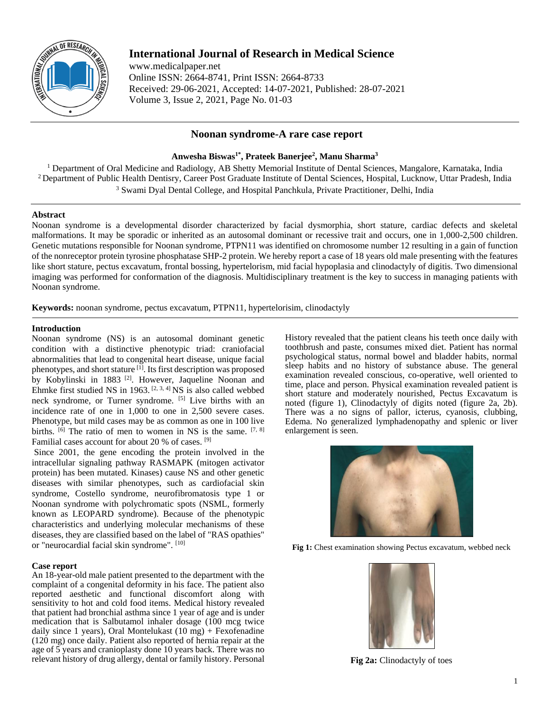

# **International Journal of Research in Medical Science**

www.medicalpaper.net Online ISSN: 2664-8741, Print ISSN: 2664-8733 Received: 29-06-2021, Accepted: 14-07-2021, Published: 28-07-2021 Volume 3, Issue 2, 2021, Page No. 01-03

# **Noonan syndrome-A rare case report**

## **Anwesha Biswas1\* , Prateek Banerjee<sup>2</sup> , Manu Sharma<sup>3</sup>**

<sup>1</sup> Department of Oral Medicine and Radiology, AB Shetty Memorial Institute of Dental Sciences, Mangalore, Karnataka, India <sup>2</sup> Department of Public Health Dentisry, Career Post Graduate Institute of Dental Sciences, Hospital, Lucknow, Uttar Pradesh, India <sup>3</sup> Swami Dyal Dental College, and Hospital Panchkula, Private Practitioner, Delhi, India

## **Abstract**

Noonan syndrome is a developmental disorder characterized by facial dysmorphia, short stature, cardiac defects and skeletal malformations. It may be sporadic or inherited as an autosomal dominant or recessive trait and occurs, one in 1,000-2,500 children. Genetic mutations responsible for Noonan syndrome, PTPN11 was identified on chromosome number 12 resulting in a gain of function of the nonreceptor protein tyrosine phosphatase SHP-2 protein. We hereby report a case of 18 years old male presenting with the features like short stature, pectus excavatum, frontal bossing, hypertelorism, mid facial hypoplasia and clinodactyly of digitis. Two dimensional imaging was performed for conformation of the diagnosis. Multidisciplinary treatment is the key to success in managing patients with Noonan syndrome.

**Keywords:** noonan syndrome, pectus excavatum, PTPN11, hypertelorisim, clinodactyly

## **Introduction**

Noonan syndrome (NS) is an autosomal dominant genetic condition with a distinctive phenotypic triad: craniofacial abnormalities that lead to congenital heart disease, unique facial phenotypes, and short stature [1]. Its first description was proposed by Kobylinski in 1883<sup>[2]</sup>. However, Jaqueline Noonan and Ehmke first studied NS in 1963.  $[2, 3, 4]$  NS is also called webbed neck syndrome, or Turner syndrome. [5] Live births with an incidence rate of one in 1,000 to one in 2,500 severe cases. Phenotype, but mild cases may be as common as one in 100 live births.  $[6]$  The ratio of men to women in NS is the same.  $[7, 8]$ Familial cases account for about 20 % of cases. [9]

 Since 2001, the gene encoding the protein involved in the intracellular signaling pathway RASMAPK (mitogen activator protein) has been mutated. Kinases) cause NS and other genetic diseases with similar phenotypes, such as cardiofacial skin syndrome, Costello syndrome, neurofibromatosis type 1 or Noonan syndrome with polychromatic spots (NSML, formerly known as LEOPARD syndrome). Because of the phenotypic characteristics and underlying molecular mechanisms of these diseases, they are classified based on the label of "RAS opathies" or "neurocardial facial skin syndrome". [10]

#### **Case report**

An 18-year-old male patient presented to the department with the complaint of a congenital deformity in his face. The patient also reported aesthetic and functional discomfort along with sensitivity to hot and cold food items. Medical history revealed that patient had bronchial asthma since 1 year of age and is under medication that is Salbutamol inhaler dosage (100 mcg twice daily since 1 years), Oral Montelukast (10 mg) + Fexofenadine (120 mg) once daily. Patient also reported of hernia repair at the age of 5 years and cranioplasty done 10 years back. There was no relevant history of drug allergy, dental or family history. Personal History revealed that the patient cleans his teeth once daily with toothbrush and paste, consumes mixed diet. Patient has normal psychological status, normal bowel and bladder habits, normal sleep habits and no history of substance abuse. The general examination revealed conscious, co-operative, well oriented to time, place and person. Physical examination revealed patient is short stature and moderately nourished, Pectus Excavatum is noted (figure 1), Clinodactyly of digits noted (figure 2a, 2b). There was a no signs of pallor, icterus, cyanosis, clubbing, Edema. No generalized lymphadenopathy and splenic or liver enlargement is seen.



**Fig 1:** Chest examination showing Pectus excavatum, webbed neck



**Fig 2a:** Clinodactyly of toes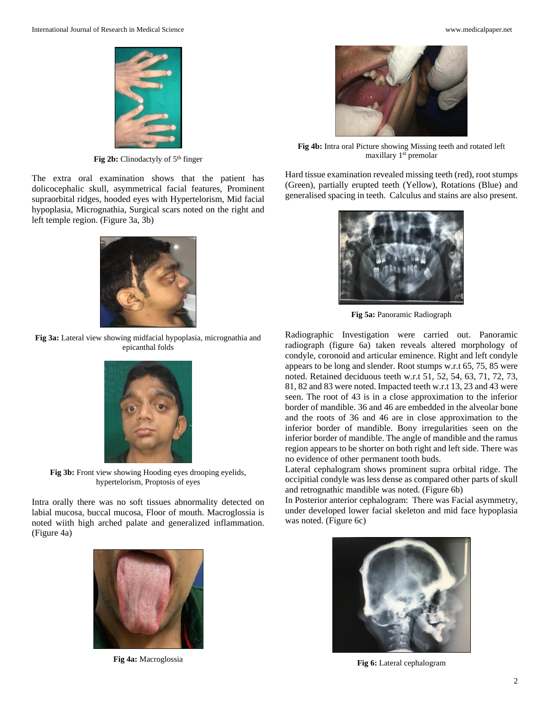

Fig 2b: Clinodactyly of 5<sup>th</sup> finger

The extra oral examination shows that the patient has dolicocephalic skull, asymmetrical facial features, Prominent supraorbital ridges, hooded eyes with Hypertelorism, Mid facial hypoplasia, Micrognathia, Surgical scars noted on the right and left temple region. (Figure 3a, 3b)



**Fig 3a:** Lateral view showing midfacial hypoplasia, micrognathia and epicanthal folds



**Fig 3b:** Front view showing Hooding eyes drooping eyelids, hypertelorism, Proptosis of eyes

Intra orally there was no soft tissues abnormality detected on labial mucosa, buccal mucosa, Floor of mouth. Macroglossia is noted wiith high arched palate and generalized inflammation. (Figure 4a)



**Fig 4a:** Macroglossia



**Fig 4b:** Intra oral Picture showing Missing teeth and rotated left maxillary 1<sup>st</sup> premolar

Hard tissue examination revealed missing teeth (red), root stumps (Green), partially erupted teeth (Yellow), Rotations (Blue) and generalised spacing in teeth. Calculus and stains are also present.



**Fig 5a:** Panoramic Radiograph

Radiographic Investigation were carried out. Panoramic radiograph (figure 6a) taken reveals altered morphology of condyle, coronoid and articular eminence. Right and left condyle appears to be long and slender. Root stumps w.r.t 65, 75, 85 were noted. Retained deciduous teeth w.r.t 51, 52, 54, 63, 71, 72, 73, 81, 82 and 83 were noted. Impacted teeth w.r.t 13, 23 and 43 were seen. The root of 43 is in a close approximation to the inferior border of mandible. 36 and 46 are embedded in the alveolar bone and the roots of 36 and 46 are in close approximation to the inferior border of mandible. Bony irregularities seen on the inferior border of mandible. The angle of mandible and the ramus region appears to be shorter on both right and left side. There was no evidence of other permanent tooth buds.

Lateral cephalogram shows prominent supra orbital ridge. The occipitial condyle was less dense as compared other parts of skull and retrognathic mandible was noted. (Figure 6b)

In Posterior anterior cephalogram: There was Facial asymmetry, under developed lower facial skeleton and mid face hypoplasia was noted. (Figure 6c)



**Fig 6:** Lateral cephalogram